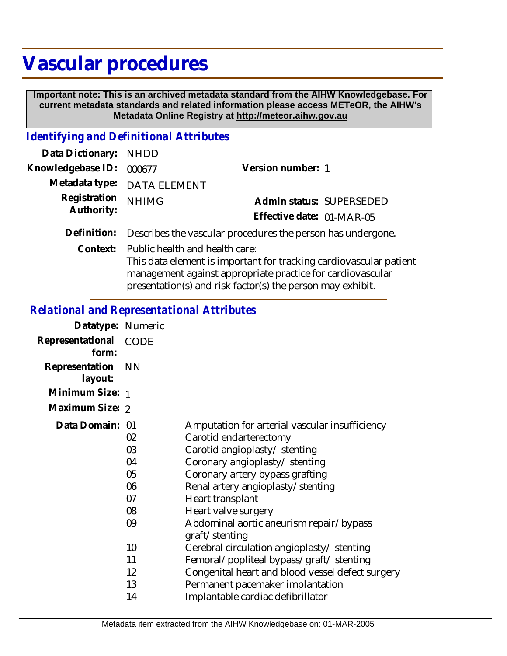# **Vascular procedures**

 **Important note: This is an archived metadata standard from the AIHW Knowledgebase. For current metadata standards and related information please access METeOR, the AIHW's Metadata Online Registry at http://meteor.aihw.gov.au**

## *Identifying and Definitional Attributes*

| Data Dictionary: NHDD      |                                                                                                          |                           |                          |
|----------------------------|----------------------------------------------------------------------------------------------------------|---------------------------|--------------------------|
| Knowledgebase ID: 000677   |                                                                                                          | Version number: 1         |                          |
|                            | Metadata type: DATA ELEMENT                                                                              |                           |                          |
| Registration<br>Authority: | <b>NHIMG</b>                                                                                             | Effective date: 01-MAR-05 | Admin status: SUPERSEDED |
|                            | Definition: Describes the vascular procedures the person has undergone.                                  |                           |                          |
|                            | Context: Public health and health care:<br>This deta slament is important for tracking cardiousesular po |                           |                          |

This data element is important for tracking cardiovascular patient management against appropriate practice for cardiovascular presentation(s) and risk factor(s) the person may exhibit.

#### *Relational and Representational Attributes*

| Datatype: Numeric                                               |                                                                                                                                                                                                                                                                                                                            |
|-----------------------------------------------------------------|----------------------------------------------------------------------------------------------------------------------------------------------------------------------------------------------------------------------------------------------------------------------------------------------------------------------------|
| <b>CODE</b>                                                     |                                                                                                                                                                                                                                                                                                                            |
| <b>NN</b>                                                       |                                                                                                                                                                                                                                                                                                                            |
| Minimum Size: 1                                                 |                                                                                                                                                                                                                                                                                                                            |
| Maximum Size: 2                                                 |                                                                                                                                                                                                                                                                                                                            |
| Data Domain: 01<br>02<br>03<br>04<br>05<br>06<br>07<br>08<br>09 | Amputation for arterial vascular insufficiency<br>Carotid endarterectomy<br>Carotid angioplasty/stenting<br>Coronary angioplasty/ stenting<br>Coronary artery bypass grafting<br>Renal artery angioplasty/stenting<br>Heart transplant<br>Heart valve surgery<br>Abdominal aortic aneurism repair/bypass<br>graft/stenting |
| 10                                                              | Cerebral circulation angioplasty/ stenting                                                                                                                                                                                                                                                                                 |
| 11                                                              | Femoral/popliteal bypass/graft/ stenting                                                                                                                                                                                                                                                                                   |
| 12                                                              | Congenital heart and blood vessel defect surgery                                                                                                                                                                                                                                                                           |
| 13                                                              | Permanent pacemaker implantation                                                                                                                                                                                                                                                                                           |
| 14                                                              | Implantable cardiac defibrillator                                                                                                                                                                                                                                                                                          |
|                                                                 |                                                                                                                                                                                                                                                                                                                            |